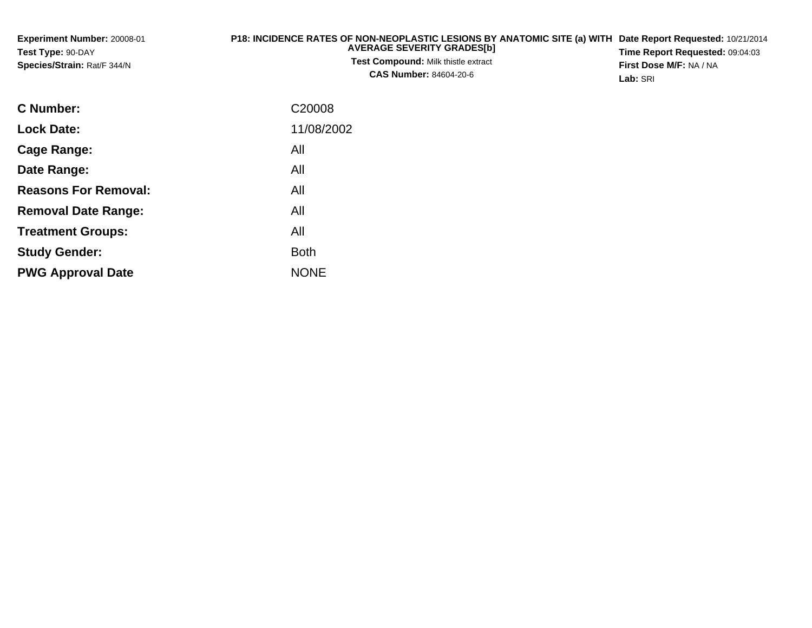| <b>Experiment Number: 20008-01</b> | P18: INCIDENCE RATES OF NON-NEOPLASTIC LESIONS BY ANATOMIC SITE (a) WITH Date Report Requested: 10/21/2014 |                                        |
|------------------------------------|------------------------------------------------------------------------------------------------------------|----------------------------------------|
| <b>Test Type: 90-DAY</b>           | <b>AVERAGE SEVERITY GRADES[b]</b>                                                                          | <b>Time Report Requested: 09:04:03</b> |
| <b>Species/Strain: Rat/F 344/N</b> | <b>Test Compound:</b> Milk thistle extract                                                                 | <b>First Dose M/F: NA / NA</b>         |
|                                    | <b>CAS Number: 84604-20-6</b>                                                                              | Lab: SRI                               |

| <b>C</b> Number:            | C <sub>20008</sub> |
|-----------------------------|--------------------|
| <b>Lock Date:</b>           | 11/08/2002         |
| Cage Range:                 | All                |
| Date Range:                 | All                |
| <b>Reasons For Removal:</b> | All                |
| <b>Removal Date Range:</b>  | All                |
| <b>Treatment Groups:</b>    | All                |
| <b>Study Gender:</b>        | <b>Both</b>        |
| <b>PWG Approval Date</b>    | <b>NONE</b>        |
|                             |                    |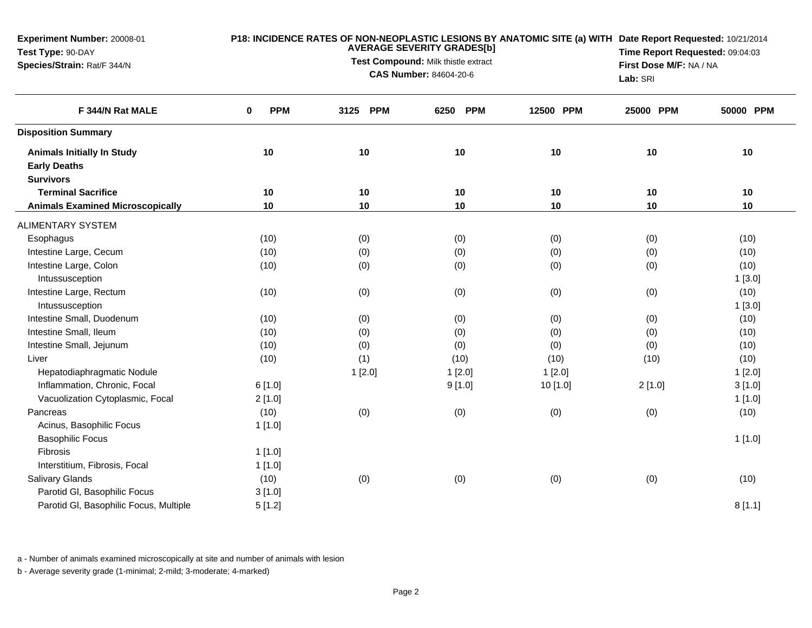| <b>Experiment Number: 20008-01</b><br>Test Type: 90-DAY<br>Species/Strain: Rat/F 344/N |                        | Lab: SRI           | P18: INCIDENCE RATES OF NON-NEOPLASTIC LESIONS BY ANATOMIC SITE (a) WITH Date Report Requested: 10/21/2014<br>Time Report Requested: 09:04:03<br>First Dose M/F: NA / NA |           |           |           |
|----------------------------------------------------------------------------------------|------------------------|--------------------|--------------------------------------------------------------------------------------------------------------------------------------------------------------------------|-----------|-----------|-----------|
| F 344/N Rat MALE                                                                       | <b>PPM</b><br>$\bf{0}$ | <b>PPM</b><br>3125 | <b>PPM</b><br>6250                                                                                                                                                       | 12500 PPM | 25000 PPM | 50000 PPM |
| <b>Disposition Summary</b>                                                             |                        |                    |                                                                                                                                                                          |           |           |           |
| <b>Animals Initially In Study</b><br><b>Early Deaths</b>                               | 10                     | 10                 | 10                                                                                                                                                                       | 10        | 10        | 10        |
| <b>Survivors</b>                                                                       |                        |                    |                                                                                                                                                                          |           |           |           |
| <b>Terminal Sacrifice</b>                                                              | 10                     | 10                 | 10                                                                                                                                                                       | 10        | 10        | 10        |
| <b>Animals Examined Microscopically</b>                                                | 10                     | 10                 | 10                                                                                                                                                                       | 10        | 10        | 10        |
| <b>ALIMENTARY SYSTEM</b>                                                               |                        |                    |                                                                                                                                                                          |           |           |           |
| Esophagus                                                                              | (10)                   | (0)                | (0)                                                                                                                                                                      | (0)       | (0)       | (10)      |
| Intestine Large, Cecum                                                                 | (10)                   | (0)                | (0)                                                                                                                                                                      | (0)       | (0)       | (10)      |
| Intestine Large, Colon                                                                 | (10)                   | (0)                | (0)                                                                                                                                                                      | (0)       | (0)       | (10)      |
| Intussusception                                                                        |                        |                    |                                                                                                                                                                          |           |           | 1[3.0]    |
| Intestine Large, Rectum                                                                | (10)                   | (0)                | (0)                                                                                                                                                                      | (0)       | (0)       | (10)      |
| Intussusception                                                                        |                        |                    |                                                                                                                                                                          |           |           | 1[3.0]    |
| Intestine Small, Duodenum                                                              | (10)                   | (0)                | (0)                                                                                                                                                                      | (0)       | (0)       | (10)      |
| Intestine Small, Ileum                                                                 | (10)                   | (0)                | (0)                                                                                                                                                                      | (0)       | (0)       | (10)      |
| Intestine Small, Jejunum                                                               | (10)                   | (0)                | (0)                                                                                                                                                                      | (0)       | (0)       | (10)      |
| Liver                                                                                  | (10)                   | (1)                | (10)                                                                                                                                                                     | (10)      | (10)      | (10)      |
| Hepatodiaphragmatic Nodule                                                             |                        | 1[2.0]             | 1[2.0]                                                                                                                                                                   | 1[2.0]    |           | 1[2.0]    |
| Inflammation, Chronic, Focal                                                           | 6[1.0]                 |                    | 9[1.0]                                                                                                                                                                   | 10 [1.0]  | 2[1.0]    | 3[1.0]    |
| Vacuolization Cytoplasmic, Focal                                                       | 2[1.0]                 |                    |                                                                                                                                                                          |           |           | 1[1.0]    |
| Pancreas                                                                               | (10)                   | (0)                | (0)                                                                                                                                                                      | (0)       | (0)       | (10)      |
| Acinus, Basophilic Focus                                                               | 1[1.0]                 |                    |                                                                                                                                                                          |           |           |           |
| <b>Basophilic Focus</b>                                                                |                        |                    |                                                                                                                                                                          |           |           | 1[1.0]    |
| Fibrosis                                                                               | 1[1.0]                 |                    |                                                                                                                                                                          |           |           |           |
| Interstitium, Fibrosis, Focal                                                          | 1[1.0]                 |                    |                                                                                                                                                                          |           |           |           |
| <b>Salivary Glands</b>                                                                 | (10)                   | (0)                | (0)                                                                                                                                                                      | (0)       | (0)       | (10)      |
| Parotid GI, Basophilic Focus                                                           | 3[1.0]                 |                    |                                                                                                                                                                          |           |           |           |
| Parotid GI, Basophilic Focus, Multiple                                                 | 5[1.2]                 |                    |                                                                                                                                                                          |           |           | 8[1.1]    |

a - Number of animals examined microscopically at site and number of animals with lesion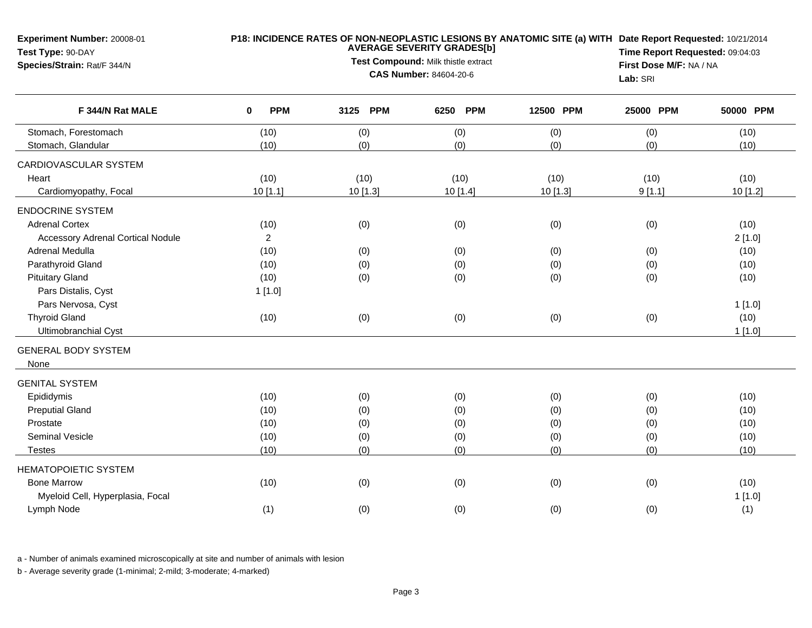**Experiment Number:** 20008-01

## **Test Type:** 90-DAY**Species/Strain:** Rat/F 344/N

## **P18: INCIDENCE RATES OF NON-NEOPLASTIC LESIONS BY ANATOMIC SITE (a) WITH AVERAGE SEVERITY GRADES[b] Date Report Requested:** 10/21/2014

**Test Compound:** Milk thistle extract**CAS Number:** 84604-20-6

**Time Report Requested:** 09:04:03**First Dose M/F:** NA / NA**Lab:** SRI

| F 344/N Rat MALE                         | <b>PPM</b><br>0 | 3125<br><b>PPM</b> | <b>PPM</b><br>6250 | 12500 PPM | 25000 PPM | 50000 PPM |
|------------------------------------------|-----------------|--------------------|--------------------|-----------|-----------|-----------|
| Stomach, Forestomach                     | (10)            | (0)                | (0)                | (0)       | (0)       | (10)      |
| Stomach, Glandular                       | (10)            | (0)                | (0)                | (0)       | (0)       | (10)      |
| CARDIOVASCULAR SYSTEM                    |                 |                    |                    |           |           |           |
| Heart                                    | (10)            | (10)               | (10)               | (10)      | (10)      | (10)      |
| Cardiomyopathy, Focal                    | 10 [1.1]        | 10 [1.3]           | 10[1.4]            | 10 [1.3]  | 9[1.1]    | 10 [1.2]  |
| <b>ENDOCRINE SYSTEM</b>                  |                 |                    |                    |           |           |           |
| <b>Adrenal Cortex</b>                    | (10)            | (0)                | (0)                | (0)       | (0)       | (10)      |
| <b>Accessory Adrenal Cortical Nodule</b> | $\overline{c}$  |                    |                    |           |           | 2[1.0]    |
| Adrenal Medulla                          | (10)            | (0)                | (0)                | (0)       | (0)       | (10)      |
| Parathyroid Gland                        | (10)            | (0)                | (0)                | (0)       | (0)       | (10)      |
| <b>Pituitary Gland</b>                   | (10)            | (0)                | (0)                | (0)       | (0)       | (10)      |
| Pars Distalis, Cyst                      | 1[1.0]          |                    |                    |           |           |           |
| Pars Nervosa, Cyst                       |                 |                    |                    |           |           | 1[1.0]    |
| <b>Thyroid Gland</b>                     | (10)            | (0)                | (0)                | (0)       | (0)       | (10)      |
| Ultimobranchial Cyst                     |                 |                    |                    |           |           | 1[1.0]    |
| <b>GENERAL BODY SYSTEM</b>               |                 |                    |                    |           |           |           |
| None                                     |                 |                    |                    |           |           |           |
| <b>GENITAL SYSTEM</b>                    |                 |                    |                    |           |           |           |
| Epididymis                               | (10)            | (0)                | (0)                | (0)       | (0)       | (10)      |
| <b>Preputial Gland</b>                   | (10)            | (0)                | (0)                | (0)       | (0)       | (10)      |
| Prostate                                 | (10)            | (0)                | (0)                | (0)       | (0)       | (10)      |
| Seminal Vesicle                          | (10)            | (0)                | (0)                | (0)       | (0)       | (10)      |
| <b>Testes</b>                            | (10)            | (0)                | (0)                | (0)       | (0)       | (10)      |
| <b>HEMATOPOIETIC SYSTEM</b>              |                 |                    |                    |           |           |           |
| <b>Bone Marrow</b>                       | (10)            | (0)                | (0)                | (0)       | (0)       | (10)      |
| Myeloid Cell, Hyperplasia, Focal         |                 |                    |                    |           |           | 1[1.0]    |
| Lymph Node                               | (1)             | (0)                | (0)                | (0)       | (0)       | (1)       |

a - Number of animals examined microscopically at site and number of animals with lesion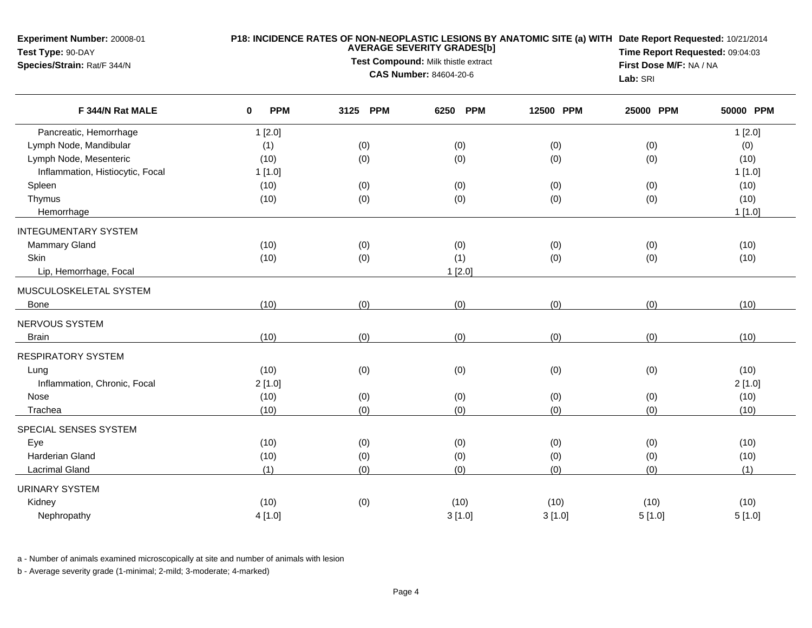**Experiment Number:** 20008-01

## **P18: INCIDENCE RATES OF NON-NEOPLASTIC LESIONS BY ANATOMIC SITE (a) WITH AVERAGE SEVERITY GRADES[b] Date Report Requested:** 10/21/2014

**Test Type:** 90-DAY**Species/Strain:** Rat/F 344/N

**Test Compound:** Milk thistle extract**CAS Number:** 84604-20-6

**Time Report Requested:** 09:04:03**First Dose M/F:** NA / NA**Lab:** SRI

| F 344/N Rat MALE                 | <b>PPM</b><br>0 | <b>PPM</b><br>3125 | <b>PPM</b><br>6250 | 12500 PPM | 25000 PPM | 50000 PPM |
|----------------------------------|-----------------|--------------------|--------------------|-----------|-----------|-----------|
| Pancreatic, Hemorrhage           | 1[2.0]          |                    |                    |           |           | 1[2.0]    |
| Lymph Node, Mandibular           | (1)             | (0)                | (0)                | (0)       | (0)       | (0)       |
| Lymph Node, Mesenteric           | (10)            | (0)                | (0)                | (0)       | (0)       | (10)      |
| Inflammation, Histiocytic, Focal | 1[1.0]          |                    |                    |           |           | 1[1.0]    |
| Spleen                           | (10)            | (0)                | (0)                | (0)       | (0)       | (10)      |
| Thymus                           | (10)            | (0)                | (0)                | (0)       | (0)       | (10)      |
| Hemorrhage                       |                 |                    |                    |           |           | 1[1.0]    |
| <b>INTEGUMENTARY SYSTEM</b>      |                 |                    |                    |           |           |           |
| <b>Mammary Gland</b>             | (10)            | (0)                | (0)                | (0)       | (0)       | (10)      |
| Skin                             | (10)            | (0)                | (1)                | (0)       | (0)       | (10)      |
| Lip, Hemorrhage, Focal           |                 |                    | 1[2.0]             |           |           |           |
| MUSCULOSKELETAL SYSTEM           |                 |                    |                    |           |           |           |
| Bone                             | (10)            | (0)                | (0)                | (0)       | (0)       | (10)      |
| NERVOUS SYSTEM                   |                 |                    |                    |           |           |           |
| <b>Brain</b>                     | (10)            | (0)                | (0)                | (0)       | (0)       | (10)      |
| <b>RESPIRATORY SYSTEM</b>        |                 |                    |                    |           |           |           |
| Lung                             | (10)            | (0)                | (0)                | (0)       | (0)       | (10)      |
| Inflammation, Chronic, Focal     | 2[1.0]          |                    |                    |           |           | 2[1.0]    |
| Nose                             | (10)            | (0)                | (0)                | (0)       | (0)       | (10)      |
| Trachea                          | (10)            | (0)                | (0)                | (0)       | (0)       | (10)      |
| SPECIAL SENSES SYSTEM            |                 |                    |                    |           |           |           |
| Eye                              | (10)            | (0)                | (0)                | (0)       | (0)       | (10)      |
| <b>Harderian Gland</b>           | (10)            | (0)                | (0)                | (0)       | (0)       | (10)      |
| <b>Lacrimal Gland</b>            | (1)             | (0)                | (0)                | (0)       | (0)       | (1)       |
| <b>URINARY SYSTEM</b>            |                 |                    |                    |           |           |           |
| Kidney                           | (10)            | (0)                | (10)               | (10)      | (10)      | (10)      |
| Nephropathy                      | 4 [1.0]         |                    | 3[1.0]             | 3[1.0]    | 5[1.0]    | 5[1.0]    |

a - Number of animals examined microscopically at site and number of animals with lesion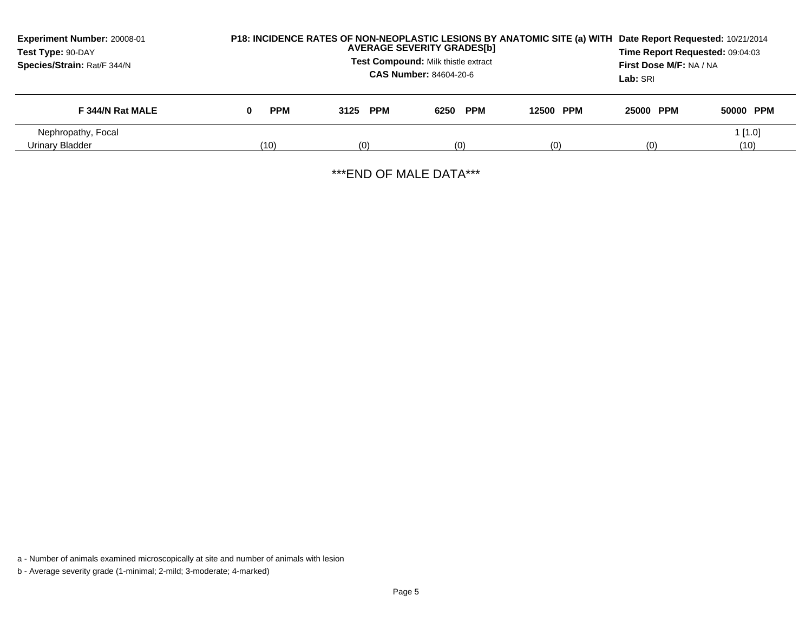| <b>Experiment Number: 20008-01</b><br>Test Type: 90-DAY<br>Species/Strain: Rat/F 344/N | P18: INCIDENCE RATES OF NON-NEOPLASTIC LESIONS BY ANATOMIC SITE (a) WITH | Date Report Requested: 10/21/2014<br>Time Report Requested: 09:04:03<br>First Dose M/F: NA / NA<br>Lab: SRI |          |           |           |                   |
|----------------------------------------------------------------------------------------|--------------------------------------------------------------------------|-------------------------------------------------------------------------------------------------------------|----------|-----------|-----------|-------------------|
| F 344/N Rat MALE                                                                       | <b>PPM</b><br>0                                                          | 3125 PPM                                                                                                    | 6250 PPM | 12500 PPM | 25000 PPM | 50000 PPM         |
| Nephropathy, Focal<br>Urinary Bladder                                                  | (10)                                                                     | (0)                                                                                                         | (0)      | (0)       | (0)       | $1$ [1.0]<br>(10) |

\*\*\*END OF MALE DATA\*\*\*

a - Number of animals examined microscopically at site and number of animals with lesion

b - Average severity grade (1-minimal; 2-mild; 3-moderate; 4-marked)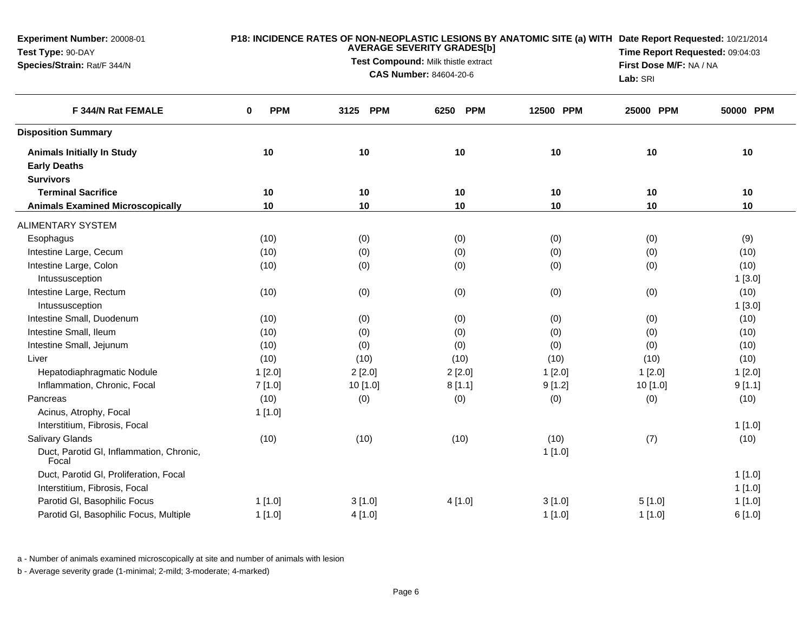| <b>Experiment Number: 20008-01</b><br>Test Type: 90-DAY<br>Species/Strain: Rat/F 344/N |                           | Lab: SRI | P18: INCIDENCE RATES OF NON-NEOPLASTIC LESIONS BY ANATOMIC SITE (a) WITH Date Report Requested: 10/21/2014<br>Time Report Requested: 09:04:03<br>First Dose M/F: NA / NA |           |           |           |
|----------------------------------------------------------------------------------------|---------------------------|----------|--------------------------------------------------------------------------------------------------------------------------------------------------------------------------|-----------|-----------|-----------|
| F 344/N Rat FEMALE                                                                     | <b>PPM</b><br>$\mathbf 0$ | 3125 PPM | <b>PPM</b><br>6250                                                                                                                                                       | 12500 PPM | 25000 PPM | 50000 PPM |
| <b>Disposition Summary</b>                                                             |                           |          |                                                                                                                                                                          |           |           |           |
| <b>Animals Initially In Study</b>                                                      | 10                        | 10       | 10                                                                                                                                                                       | 10        | 10        | 10        |
| <b>Early Deaths</b>                                                                    |                           |          |                                                                                                                                                                          |           |           |           |
| <b>Survivors</b>                                                                       |                           |          |                                                                                                                                                                          |           |           |           |
| <b>Terminal Sacrifice</b>                                                              | 10                        | 10       | 10                                                                                                                                                                       | 10        | 10        | 10        |
| <b>Animals Examined Microscopically</b>                                                | 10                        | 10       | 10                                                                                                                                                                       | 10        | 10        | 10        |
| <b>ALIMENTARY SYSTEM</b>                                                               |                           |          |                                                                                                                                                                          |           |           |           |
| Esophagus                                                                              | (10)                      | (0)      | (0)                                                                                                                                                                      | (0)       | (0)       | (9)       |
| Intestine Large, Cecum                                                                 | (10)                      | (0)      | (0)                                                                                                                                                                      | (0)       | (0)       | (10)      |
| Intestine Large, Colon                                                                 | (10)                      | (0)      | (0)                                                                                                                                                                      | (0)       | (0)       | (10)      |
| Intussusception                                                                        |                           |          |                                                                                                                                                                          |           |           | 1[3.0]    |
| Intestine Large, Rectum                                                                | (10)                      | (0)      | (0)                                                                                                                                                                      | (0)       | (0)       | (10)      |
| Intussusception                                                                        |                           |          |                                                                                                                                                                          |           |           | 1[3.0]    |
| Intestine Small, Duodenum                                                              | (10)                      | (0)      | (0)                                                                                                                                                                      | (0)       | (0)       | (10)      |
| Intestine Small, Ileum                                                                 | (10)                      | (0)      | (0)                                                                                                                                                                      | (0)       | (0)       | (10)      |
| Intestine Small, Jejunum                                                               | (10)                      | (0)      | (0)                                                                                                                                                                      | (0)       | (0)       | (10)      |
| Liver                                                                                  | (10)                      | (10)     | (10)                                                                                                                                                                     | (10)      | (10)      | (10)      |
| Hepatodiaphragmatic Nodule                                                             | 1[2.0]                    | 2[2.0]   | 2[2.0]                                                                                                                                                                   | 1[2.0]    | 1[2.0]    | 1[2.0]    |
| Inflammation, Chronic, Focal                                                           | 7[1.0]                    | 10 [1.0] | 8[1.1]                                                                                                                                                                   | 9[1.2]    | 10 [1.0]  | 9[1.1]    |
| Pancreas                                                                               | (10)                      | (0)      | (0)                                                                                                                                                                      | (0)       | (0)       | (10)      |
| Acinus, Atrophy, Focal                                                                 | 1[1.0]                    |          |                                                                                                                                                                          |           |           |           |
| Interstitium, Fibrosis, Focal                                                          |                           |          |                                                                                                                                                                          |           |           | 1[1.0]    |
| <b>Salivary Glands</b>                                                                 | (10)                      | (10)     | (10)                                                                                                                                                                     | (10)      | (7)       | (10)      |
| Duct, Parotid GI, Inflammation, Chronic,<br>Focal                                      |                           |          |                                                                                                                                                                          | 1[1.0]    |           |           |
| Duct, Parotid GI, Proliferation, Focal                                                 |                           |          |                                                                                                                                                                          |           |           | $1$ [1.0] |
| Interstitium, Fibrosis, Focal                                                          |                           |          |                                                                                                                                                                          |           |           | 1[1.0]    |
| Parotid GI, Basophilic Focus                                                           | $1$ [1.0]                 | 3[1.0]   | 4[1.0]                                                                                                                                                                   | 3[1.0]    | 5[1.0]    | 1[1.0]    |
| Parotid GI, Basophilic Focus, Multiple                                                 | 1[1.0]                    | 4[1.0]   |                                                                                                                                                                          | 1[1.0]    | 1[1.0]    | 6[1.0]    |

a - Number of animals examined microscopically at site and number of animals with lesion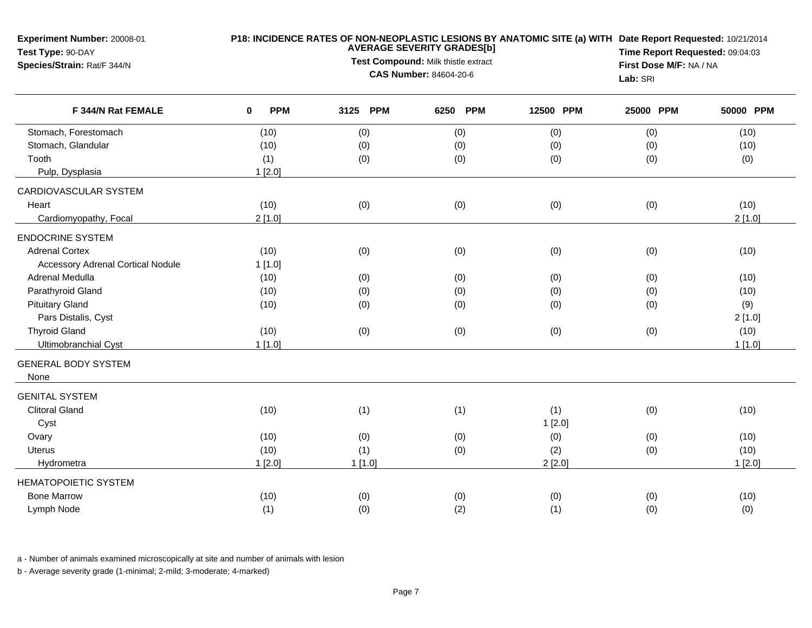| Experiment Number: 20008-01<br>Test Type: 90-DAY<br>Species/Strain: Rat/F 344/N |                           | Lab: SRI | P18: INCIDENCE RATES OF NON-NEOPLASTIC LESIONS BY ANATOMIC SITE (a) WITH Date Report Requested: 10/21/2014<br>Time Report Requested: 09:04:03<br>First Dose M/F: NA / NA |           |           |           |
|---------------------------------------------------------------------------------|---------------------------|----------|--------------------------------------------------------------------------------------------------------------------------------------------------------------------------|-----------|-----------|-----------|
| F 344/N Rat FEMALE                                                              | <b>PPM</b><br>$\mathbf 0$ | 3125 PPM | 6250 PPM                                                                                                                                                                 | 12500 PPM | 25000 PPM | 50000 PPM |
| Stomach, Forestomach                                                            | (10)                      | (0)      | (0)                                                                                                                                                                      | (0)       | (0)       | (10)      |
| Stomach, Glandular                                                              | (10)                      | (0)      | (0)                                                                                                                                                                      | (0)       | (0)       | (10)      |
| Tooth                                                                           | (1)                       | (0)      | (0)                                                                                                                                                                      | (0)       | (0)       | (0)       |
| Pulp, Dysplasia                                                                 | 1[2.0]                    |          |                                                                                                                                                                          |           |           |           |
| CARDIOVASCULAR SYSTEM                                                           |                           |          |                                                                                                                                                                          |           |           |           |
| Heart                                                                           | (10)                      | (0)      | (0)                                                                                                                                                                      | (0)       | (0)       | (10)      |
| Cardiomyopathy, Focal                                                           | 2[1.0]                    |          |                                                                                                                                                                          |           |           | 2[1.0]    |
| <b>ENDOCRINE SYSTEM</b>                                                         |                           |          |                                                                                                                                                                          |           |           |           |
| <b>Adrenal Cortex</b>                                                           | (10)                      | (0)      | (0)                                                                                                                                                                      | (0)       | (0)       | (10)      |
| <b>Accessory Adrenal Cortical Nodule</b>                                        | 1[1.0]                    |          |                                                                                                                                                                          |           |           |           |
| Adrenal Medulla                                                                 | (10)                      | (0)      | (0)                                                                                                                                                                      | (0)       | (0)       | (10)      |
| Parathyroid Gland                                                               | (10)                      | (0)      | (0)                                                                                                                                                                      | (0)       | (0)       | (10)      |
| <b>Pituitary Gland</b>                                                          | (10)                      | (0)      | (0)                                                                                                                                                                      | (0)       | (0)       | (9)       |
| Pars Distalis, Cyst                                                             |                           |          |                                                                                                                                                                          |           |           | 2[1.0]    |
| <b>Thyroid Gland</b>                                                            | (10)                      | (0)      | (0)                                                                                                                                                                      | (0)       | (0)       | (10)      |
| Ultimobranchial Cyst                                                            | 1[1.0]                    |          |                                                                                                                                                                          |           |           | 1[1.0]    |
| <b>GENERAL BODY SYSTEM</b><br>None                                              |                           |          |                                                                                                                                                                          |           |           |           |
| <b>GENITAL SYSTEM</b>                                                           |                           |          |                                                                                                                                                                          |           |           |           |
| <b>Clitoral Gland</b>                                                           | (10)                      | (1)      | (1)                                                                                                                                                                      | (1)       | (0)       | (10)      |
| Cyst                                                                            |                           |          |                                                                                                                                                                          | 1[2.0]    |           |           |
| Ovary                                                                           | (10)                      | (0)      | (0)                                                                                                                                                                      | (0)       | (0)       | (10)      |
| <b>Uterus</b>                                                                   | (10)                      | (1)      | (0)                                                                                                                                                                      | (2)       | (0)       | (10)      |
| Hydrometra                                                                      | 1[2.0]                    | 1[1.0]   |                                                                                                                                                                          | 2[2.0]    |           | 1[2.0]    |
| <b>HEMATOPOIETIC SYSTEM</b>                                                     |                           |          |                                                                                                                                                                          |           |           |           |
| <b>Bone Marrow</b>                                                              | (10)                      | (0)      | (0)                                                                                                                                                                      | (0)       | (0)       | (10)      |
| Lymph Node                                                                      | (1)                       | (0)      | (2)                                                                                                                                                                      | (1)       | (0)       | (0)       |

a - Number of animals examined microscopically at site and number of animals with lesion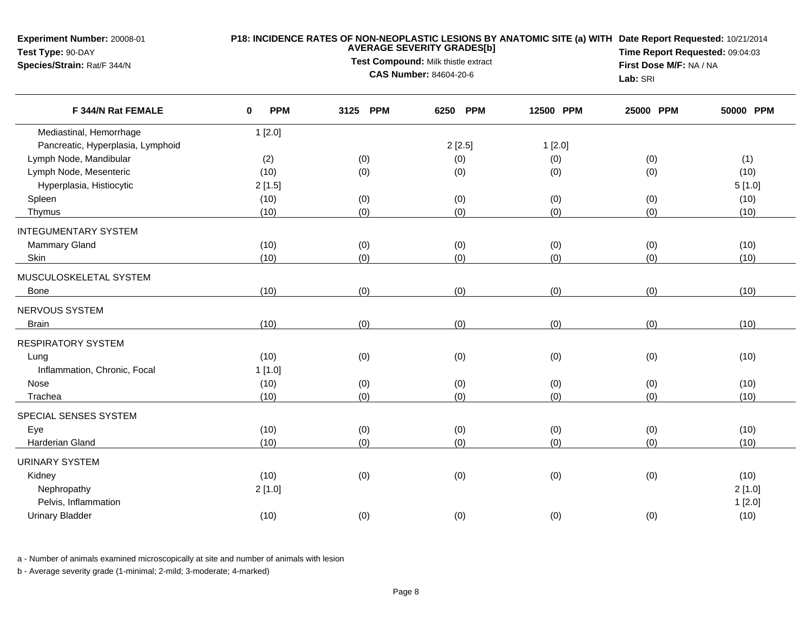**Experiment Number:** 20008-01**Test Type:** 90-DAY**Species/Strain:** Rat/F 344/N

## **P18: INCIDENCE RATES OF NON-NEOPLASTIC LESIONS BY ANATOMIC SITE (a) WITH AVERAGE SEVERITY GRADES[b] Date Report Requested:** 10/21/2014

**Test Compound:** Milk thistle extract**CAS Number:** 84604-20-6

**Time Report Requested:** 09:04:03**First Dose M/F:** NA / NA**Lab:** SRI

| F 344/N Rat FEMALE                | <b>PPM</b><br>0 | 3125 PPM | <b>PPM</b><br>6250 | 12500 PPM | 25000 PPM | 50000 PPM |
|-----------------------------------|-----------------|----------|--------------------|-----------|-----------|-----------|
| Mediastinal, Hemorrhage           | 1[2.0]          |          |                    |           |           |           |
| Pancreatic, Hyperplasia, Lymphoid |                 |          | 2[2.5]             | 1[2.0]    |           |           |
| Lymph Node, Mandibular            | (2)             | (0)      | (0)                | (0)       | (0)       | (1)       |
| Lymph Node, Mesenteric            | (10)            | (0)      | (0)                | (0)       | (0)       | (10)      |
| Hyperplasia, Histiocytic          | 2[1.5]          |          |                    |           |           | 5[1.0]    |
| Spleen                            | (10)            | (0)      | (0)                | (0)       | (0)       | (10)      |
| Thymus                            | (10)            | (0)      | (0)                | (0)       | (0)       | (10)      |
| <b>INTEGUMENTARY SYSTEM</b>       |                 |          |                    |           |           |           |
| <b>Mammary Gland</b>              | (10)            | (0)      | (0)                | (0)       | (0)       | (10)      |
| Skin                              | (10)            | (0)      | (0)                | (0)       | (0)       | (10)      |
| MUSCULOSKELETAL SYSTEM            |                 |          |                    |           |           |           |
| <b>Bone</b>                       | (10)            | (0)      | (0)                | (0)       | (0)       | (10)      |
| NERVOUS SYSTEM                    |                 |          |                    |           |           |           |
| <b>Brain</b>                      | (10)            | (0)      | (0)                | (0)       | (0)       | (10)      |
| <b>RESPIRATORY SYSTEM</b>         |                 |          |                    |           |           |           |
| Lung                              | (10)            | (0)      | (0)                | (0)       | (0)       | (10)      |
| Inflammation, Chronic, Focal      | 1[1.0]          |          |                    |           |           |           |
| Nose                              | (10)            | (0)      | (0)                | (0)       | (0)       | (10)      |
| Trachea                           | (10)            | (0)      | (0)                | (0)       | (0)       | (10)      |
| SPECIAL SENSES SYSTEM             |                 |          |                    |           |           |           |
| Eye                               | (10)            | (0)      | (0)                | (0)       | (0)       | (10)      |
| Harderian Gland                   | (10)            | (0)      | (0)                | (0)       | (0)       | (10)      |
| <b>URINARY SYSTEM</b>             |                 |          |                    |           |           |           |
| Kidney                            | (10)            | (0)      | (0)                | (0)       | (0)       | (10)      |
| Nephropathy                       | 2[1.0]          |          |                    |           |           | 2[1.0]    |
| Pelvis, Inflammation              |                 |          |                    |           |           | 1[2.0]    |
| <b>Urinary Bladder</b>            | (10)            | (0)      | (0)                | (0)       | (0)       | (10)      |
|                                   |                 |          |                    |           |           |           |

a - Number of animals examined microscopically at site and number of animals with lesion